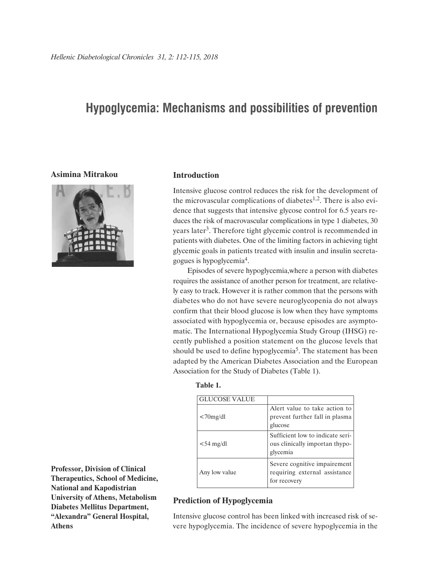# **Hypoglycemia: Mechanisms and possibilities of prevention**

### **Asimina Mitrakou**



### **Introduction**

Intensive glucose control reduces the risk for the development of the microvascular complications of diabetes<sup>1,2</sup>. There is also evidence that suggests that intensive glycose control for 6.5 years reduces the risk of macrovascular complications in type 1 diabetes, 30 years later<sup>3</sup>. Therefore tight glycemic control is recommended in patients with diabetes. One of the limiting factors in achieving tight glycemic goals in patients treated with insulin and insulin secretagogues is hypoglycemia4.

Episodes of severe hypoglycemia,where a person with diabetes requires the assistance of another person for treatment, are relatively easy to track. However it is rather common that the persons with diabetes who do not have severe neuroglycopenia do not always confirm that their blood glucose is low when they have symptoms associated with hypoglycemia or, because episodes are asymptomatic. The International Hypoglycemia Study Group (IHSG) recently published a position statement on the glucose levels that should be used to define hypoglycemia<sup>5</sup>. The statement has been adapted by the American Diabetes Association and the European Association for the Study of Diabetes (Table 1).

| ٠ | ٠<br>I | I |  |
|---|--------|---|--|

| <b>GLUCOSE VALUE</b> |                                                                                |
|----------------------|--------------------------------------------------------------------------------|
| $<70$ mg/dl          | Alert value to take action to<br>prevent further fall in plasma<br>glucose     |
| $<$ 54 mg/dl         | Sufficient low to indicate seri-<br>ous clinically importan thypo-<br>glycemia |
| Any low value        | Severe cognitive impairement<br>requiring external assistance<br>for recovery  |

**Professor, Division of Clinical Therapeutics, School of Medicine, National and Kapodistrian University of Athens, Metabolism Diabetes Mellitus Department, "Alexandra" General Hospital, Athens**

#### **Prediction of Hypoglycemia**

Intensive glucose control has been linked with increased risk of severe hypoglycemia. The incidence of severe hypoglycemia in the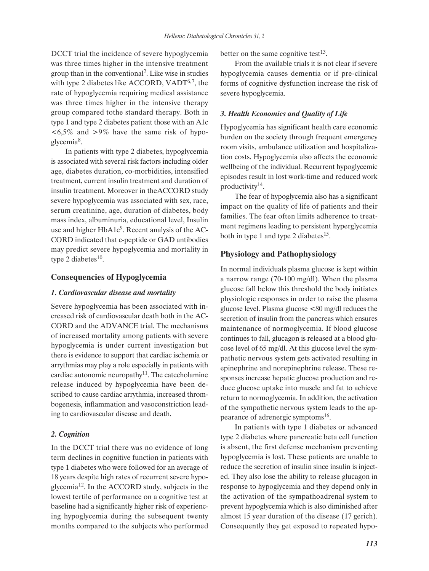DCCT trial the incidence of severe hypoglycemia was three times higher in the intensive treatment group than in the conventional 2. Like wise in studies with type 2 diabetes like ACCORD, VAD $T^{6,7}$ , the rate of hypoglycemia requiring medical assistance was three times higher in the intensive therapy group compared tothe standard therapy. Both in type 1 and type 2 diabetes patient those with an A1c  $\langle 6,5\% \rangle$  and  $>9\%$  have the same risk of hypoglycemia8.

In patients with type 2 diabetes, hypoglycemia is associated with several risk factors including older age, diabetes duration, co-morbidities, intensified treatment, current insulin treatment and duration of insulin treatment. Moreover in theACCORD study severe hypoglycemia was associated with sex, race, serum creatinine, age, duration of diabetes, body mass index, albuminuria, educational level, Insulin use and higher  $HbA1c<sup>9</sup>$ . Recent analysis of the AC-CORD indicated that c-peptide or GAD antibodies may predict severe hypoglycemia and mortality in type 2 diabetes $10$ .

## **Consequencies of Hypoglycemia**

### *1. Cardiovascular disease and mortality*

Severe hypoglycemia has been associated with increased risk of cardiovascular death both in the AC-CORD and the ADVANCE trial. The mechanisms of increased mortality among patients with severe hypoglycemia is under current investigation but there is evidence to support that cardiac ischemia or arrythmias may play a role especially in patients with cardiac autonomic neuropathy $11$ . The catecholamine release induced by hypoglycemia have been described to cause cardiac arrythmia, increased thrombogenesis, inflammation and vasoconstriction leading to cardiovascular disease and death.

### *2. Cognition*

In the DCCT trial there was no evidence of long term declines in cognitive function in patients with type 1 diabetes who were followed for an average of 18 years despite high rates of recurrent severe hypoglycemia12. In the ACCORD study, subjects in the lowest tertile of performance on a cognitive test at baseline had a significantly higher risk of experiencing hypoglycemia during the subsequent twenty months compared to the subjects who performed

better on the same cognitive test<sup>13</sup>.

From the available trials it is not clear if severe hypoglycemia causes dementia or if pre-clinical forms of cognitive dysfunction increase the risk of severe hypoglycemia.

## *3. Health Economics and Quality of Life*

Hypoglycemia has significant health care economic burden on the society through frequent emergency room visits, ambulance utilization and hospitalization costs. Hypoglycemia also affects the economic wellbeing of the individual. Recurrent hypoglycemic episodes result in lost work-time and reduced work productivity<sup>14</sup>.

The fear of hypoglycemia also has a significant impact on the quality of life of patients and their families. The fear often limits adherence to treatment regimens leading to persistent hyperglycemia both in type 1 and type 2 diabetes<sup>15</sup>.

## **Physiology and Pathophysiology**

In normal individuals plasma glucose is kept within a narrow range (70-100 mg/dl). When the plasma glucose fall below this threshold the body initiates physiologic responses in order to raise the plasma glucose level. Plasma glucose <80 mg/dl reduces the secretion of insulin from the pancreas which ensures maintenance of normoglycemia. If blood glucose continues to fall, glucagon is released at a blood glucose level of 65 mg/dl. At this glucose level the sympathetic nervous system gets activated resulting in epinephrine and norepinephrine release. These responses increase hepatic glucose production and reduce glucose uptake into muscle and fat to achieve return to normoglycemia. In addition, the activation of the sympathetic nervous system leads to the appearance of adrenergic symptoms<sup>16</sup>.

In patients with type 1 diabetes or advanced type 2 diabetes where pancreatic beta cell function is absent, the first defense mechanism preventing hypoglycemia is lost. These patients are unable to reduce the secretion of insulin since insulin is injected. They also lose the ability to release glucagon in response to hypoglycemia and they depend only in the activation of the sympathoadrenal system to prevent hypoglycemia which is also diminished after almost 15 year duration of the disease (17 gerich). Consequently they get exposed to repeated hypo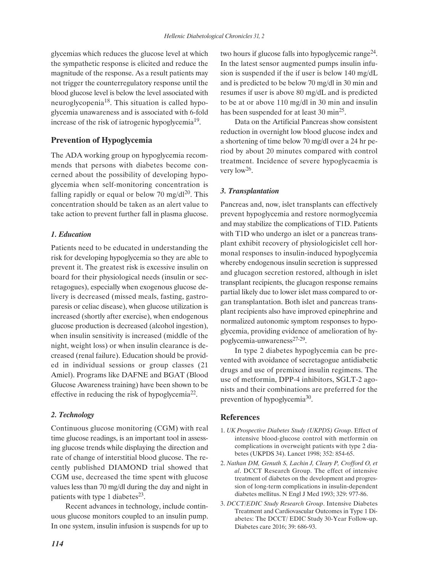glycemias which reduces the glucose level at which the sympathetic response is elicited and reduce the magnitude of the response. As a result patients may not trigger the counterregulatory response until the blood glucose level is below the level associated with neuroglycopenia<sup>18</sup>. This situation is called hypoglycemia unawareness and is associated with 6-fold increase of the risk of iatrogenic hypoglycemia<sup>19</sup>.

# **Prevention of Hypoglycemia**

The ADA working group on hypoglycemia recommends that persons with diabetes become concerned about the possibility of developing hypoglycemia when self-monitoring concentration is falling rapidly or equal or below 70 mg/dl<sup>20</sup>. This concentration should be taken as an alert value to take action to prevent further fall in plasma glucose.

# *1. Education*

Patients need to be educated in understanding the risk for developing hypoglycemia so they are able to prevent it. The greatest risk is excessive insulin on board for their physiological needs (insulin or secretagogues), especially when exogenous glucose delivery is decreased (missed meals, fasting, gastroparesis or celiac disease), when glucose utilization is increased (shortly after exercise), when endogenous glucose production is decreased (alcohol ingestion), when insulin sensitivity is increased (middle of the night, weight loss) or when insulin clearance is decreased (renal failure). Education should be provided in individual sessions or group classes (21 Amiel). Programs like DAFNE and BGAT (Blood Glucose Awareness training) have been shown to be effective in reducing the risk of hypoglycemia<sup>22</sup>.

## *2. Technology*

Continuous glucose monitoring (CGM) with real time glucose readings, is an important tool in assessing glucose trends while displaying the direction and rate of change of interstitial blood glucose. The recently published DIAMOND trial showed that CGM use, decreased the time spent with glucose values less than 70 mg/dl during the day and night in patients with type 1 diabetes $^{23}$ .

Recent advances in technology, include continuous glucose monitors coupled to an insulin pump. In one system, insulin infusion is suspends for up to two hours if glucose falls into hypoglycemic range<sup>24</sup>. In the latest sensor augmented pumps insulin infusion is suspended if the if user is below 140 mg/dL and is predicted to be below 70 mg/dl in 30 min and resumes if user is above 80 mg/dL and is predicted to be at or above 110 mg/dl in 30 min and insulin has been suspended for at least 30 min<sup>25</sup>.

Data on the Artificial Pancreas show consistent reduction in overnight low blood glucose index and a shortening of time below 70 mg/dl over a 24 hr period by about 20 minutes compared with control treatment. Incidence of severe hypoglycaemia is very low<sup>26</sup>.

# *3. Transplantation*

Pancreas and, now, islet transplants can effectively prevent hypoglycemia and restore normoglycemia and may stabilize the complications of T1D. Patients with T1D who undergo an islet or a pancreas transplant exhibit recovery of physiologicislet cell hormonal responses to insulin-induced hypoglycemia whereby endogenous insulin secretion is suppressed and glucagon secretion restored, although in islet transplant recipients, the glucagon response remains partial likely due to lower islet mass compared to organ transplantation. Both islet and pancreas transplant recipients also have improved epinephrine and normalized autonomic symptom responses to hypoglycemia, providing evidence of amelioration of hypoglycemia-unwareness<sup>27-29</sup>.

In type 2 diabetes hypoglycemia can be prevented with avoidance of secretagogue antidiabetic drugs and use of premixed insulin regimens. The use of metformin, DPP-4 inhibitors, SGLT-2 agonists and their combinations are preferred for the prevention of hypoglycemia<sup>30</sup>.

# **References**

- 1. *UK Prospective Diabetes Study (UKPDS) Group*. Effect of intensive blood-glucose control with metformin on complications in overweight patients with type 2 diabetes (UKPDS 34). Lancet 1998; 352: 854-65.
- 2. *Nathan DM, Genuth S, Lachin J, Cleary P, Crofford O, et al*. DCCT Research Group. The effect of intensive treatment of diabetes on the development and progression of long-term complications in insulin-dependent diabetes mellitus. N Engl J Med 1993; 329: 977-86.
- 3. *DCCT/EDIC Study Research Group*. Intensive Diabetes Treatment and Cardiovascular Outcomes in Type 1 Diabetes: The DCCT/ EDIC Study 30-Year Follow-up. Diabetes care 2016; 39: 686-93.